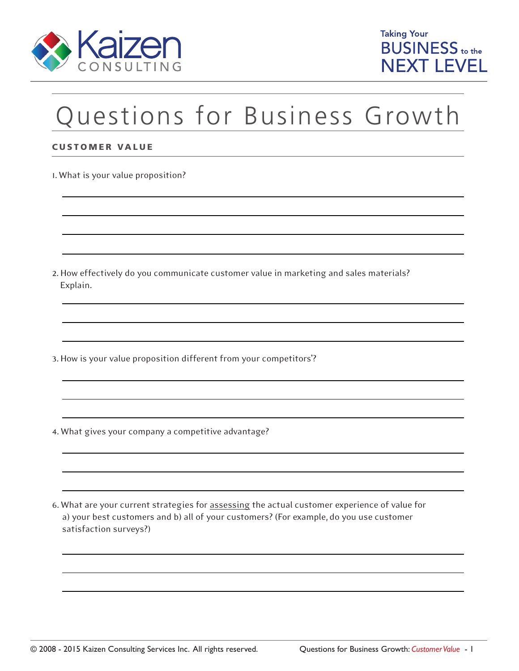



## Questions for Business Growth

## CUSTOMER VALUE

1. What is your value proposition?

2. How effectively do you communicate customer value in marketing and sales materials? Explain.

3. How is your value proposition different from your competitors'?

4. What gives your company a competitive advantage?

6. What are your current strategies for assessing the actual customer experience of value for a) your best customers and b) all of your customers? (For example, do you use customer satisfaction surveys?)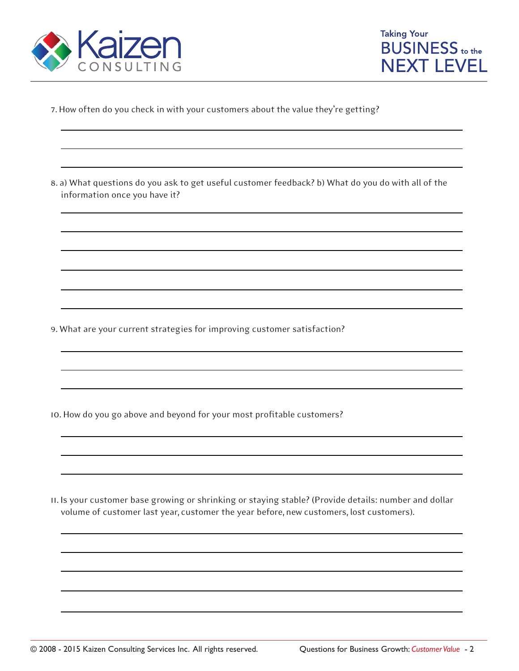



7. How often do you check in with your customers about the value they're getting?

8. a) What questions do you ask to get useful customer feedback? b) What do you do with all of the information once you have it?

9. What are your current strategies for improving customer satisfaction?

10. How do you go above and beyond for your most profitable customers?

11. Is your customer base growing or shrinking or staying stable? (Provide details: number and dollar volume of customer last year, customer the year before, new customers, lost customers).